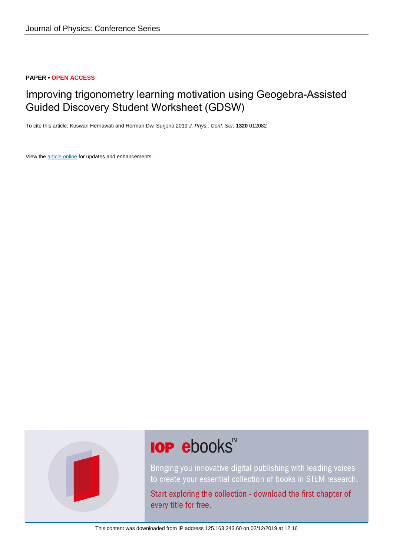### **PAPER • OPEN ACCESS**

# Improving trigonometry learning motivation using Geogebra-Assisted Guided Discovery Student Worksheet (GDSW)

To cite this article: Kuswari Hernawati and Herman Dwi Surjono 2019 J. Phys.: Conf. Ser. **1320** 012082

View the [article online](https://doi.org/10.1088/1742-6596/1320/1/012082) for updates and enhancements.



# **IOP ebooks**™

Bringing you innovative digital publishing with leading voices to create your essential collection of books in STEM research.

Start exploring the collection - download the first chapter of every title for free.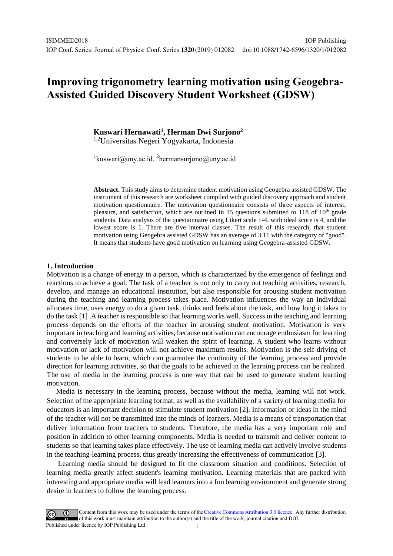IOP Publishing

## **Improving trigonometry learning motivation using Geogebra-Assisted Guided Discovery Student Worksheet (GDSW)**

**Kuswari Hernawati<sup>1</sup> , Herman Dwi Surjono<sup>2</sup>**

1,2Universitas Negeri Yogyakarta, Indonesia

 ${}^{1}$ [kuswari@uny.ac.id,](mailto:kuswari@uny.ac.id)  ${}^{2}$ [hermansurjono@uny.ac.id](mailto:hermansurjono@uny.ac.id)

**Abstract.** This study aims to determine student motivation using Geogebra assisted GDSW. The instrument of this research are worksheet compiled with guided discovery approach and student motivation questionnaire. The motivation questionnaire consists of three aspects of interest, pleasure, and satisfaction, which are outlined in 15 questions submitted to 118 of  $10<sup>th</sup>$  grade students. Data analysis of the questionnaire using Likert scale 1-4, with ideal score is 4, and the lowest score is 1. There are five interval classes. The result of this research, that student motivation using Geogebra assisted GDSW has an average of 3.11 with the category of "good". It means that students have good motivation on learning using Geogebra-assisted GDSW.

#### **1. Introduction**

Motivation is a change of energy in a person, which is characterized by the emergence of feelings and reactions to achieve a goal. The task of a teacher is not only to carry out teaching activities, research, develop, and manage an educational institution, but also responsible for arousing student motivation during the teaching and learning process takes place. Motivation influences the way an individual allocates time, uses energy to do a given task, thinks and feels about the task, and how long it takes to do the task [1] .A teacher is responsible so that learning works well. Success in the teaching and learning process depends on the efforts of the teacher in arousing student motivation. Motivation is very important in teaching and learning activities, because motivation can encourage enthusiasm for learning and conversely lack of motivation will weaken the spirit of learning. A student who learns without motivation or lack of motivation will not achieve maximum results. Motivation is the self-driving of students to be able to learn, which can guarantee the continuity of the learning process and provide direction for learning activities, so that the goals to be achieved in the learning process can be realized. The use of media in the learning process is one way that can be used to generate student learning motivation.

Media is necessary in the learning process, because without the media, learning will not work. Selection of the appropriate learning format, as well as the availability of a variety of learning media for educators is an important decision to stimulate student motivation [2]. Information or ideas in the mind of the teacher will not be transmitted into the minds of learners. Media is a means of transportation that deliver information from teachers to students. Therefore, the media has a very important role and position in addition to other learning components. Media is needed to transmit and deliver content to students so that learning takes place effectively. The use of learning media can actively involve students in the teaching-learning process, thus greatly increasing the effectiveness of communication [3].

Learning media should be designed to fit the classroom situation and conditions. Selection of learning media greatly affect student's learning motivation. Learning materials that are packed with interesting and appropriate media will lead learners into a fun learning environment and generate strong desire in learners to follow the learning process.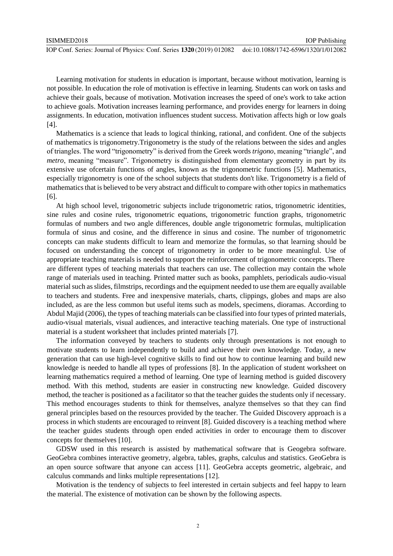IOP Publishing

Learning motivation for students in education is important, because without motivation, learning is not possible. In education the role of motivation is effective in learning. Students can work on tasks and achieve their goals, because of motivation. Motivation increases the speed of one's work to take action to achieve goals. Motivation increases learning performance, and provides energy for learners in doing assignments. In education, motivation influences student success. Motivation affects high or low goals [4].

Mathematics is a science that leads to logical thinking, rational, and confident. One of the subjects of mathematics is trigonometry.Trigonometry is the study of the relations between the sides and angles of triangles. The word "trigonometry" is derived from the Greek words *trigono*, meaning "triangle", and *metro*, meaning "measure". Trigonometry is distinguished from elementary geometry in part by its extensive use ofcertain functions of angles, known as the trigonometric functions [5]. Mathematics, especially trigonometry is one of the school subjects that students don't like. Trigonometry is a field of mathematics that is believed to be very abstract and difficult to compare with other topics in mathematics [6].

At high school level, trigonometric subjects include trigonometric ratios, trigonometric identities, sine rules and cosine rules, trigonometric equations, trigonometric function graphs, trigonometric formulas of numbers and two angle differences, double angle trigonometric formulas, multiplication formula of sinus and cosine, and the difference in sinus and cosine. The number of trigonometric concepts can make students difficult to learn and memorize the formulas, so that learning should be focused on understanding the concept of trigonometry in order to be more meaningful. Use of appropriate teaching materials is needed to support the reinforcement of trigonometric concepts. There are different types of teaching materials that teachers can use. The collection may contain the whole range of materials used in teaching. Printed matter such as books, pamphlets, periodicals audio-visual material such as slides, filmstrips, recordings and the equipment needed to use them are equally available to teachers and students. Free and inexpensive materials, charts, clippings, globes and maps are also included, as are the less common but useful items such as models, specimens, dioramas. According to Abdul Majid (2006), the types of teaching materials can be classified into four types of printed materials, audio-visual materials, visual audiences, and interactive teaching materials. One type of instructional material is a student worksheet that includes printed materials [7].

The information conveyed by teachers to students only through presentations is not enough to motivate students to learn independently to build and achieve their own knowledge. Today, a new generation that can use high-level cognitive skills to find out how to continue learning and build new knowledge is needed to handle all types of professions [8]. In the application of student worksheet on learning mathematics required a method of learning. One type of learning method is guided discovery method. With this method, students are easier in constructing new knowledge. Guided discovery method, the teacher is positioned as a facilitator so that the teacher guides the students only if necessary. This method encourages students to think for themselves, analyze themselves so that they can find general principles based on the resources provided by the teacher. The Guided Discovery approach is a process in which students are encouraged to reinvent [8]. Guided discovery is a teaching method where the teacher guides students through open ended activities in order to encourage them to discover concepts for themselves [10].

GDSW used in this research is assisted by mathematical software that is Geogebra software. GeoGebra combines interactive geometry, algebra, tables, graphs, calculus and statistics. GeoGebra is an open source software that anyone can access [11]. GeoGebra accepts geometric, algebraic, and calculus commands and links multiple representations [12].

Motivation is the tendency of subjects to feel interested in certain subjects and feel happy to learn the material. The existence of motivation can be shown by the following aspects.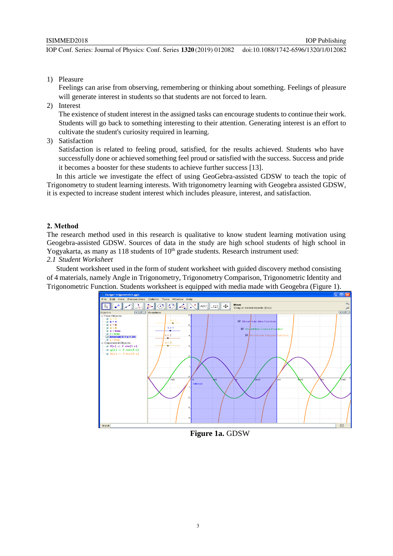1) Pleasure

Feelings can arise from observing, remembering or thinking about something. Feelings of pleasure will generate interest in students so that students are not forced to learn.

2) Interest

The existence of student interest in the assigned tasks can encourage students to continue their work. Students will go back to something interesting to their attention. Generating interest is an effort to cultivate the student's curiosity required in learning.

3) Satisfaction

Satisfaction is related to feeling proud, satisfied, for the results achieved. Students who have successfully done or achieved something feel proud or satisfied with the success. Success and pride it becomes a booster for these students to achieve further success [13].

In this article we investigate the effect of using GeoGebra-assisted GDSW to teach the topic of Trigonometry to student learning interests. With trigonometry learning with Geogebra assisted GDSW, it is expected to increase student interest which includes pleasure, interest, and satisfaction.

#### **2. Method**

The research method used in this research is qualitative to know student learning motivation using Geogebra-assisted GDSW. Sources of data in the study are high school students of high school in Yogyakarta, as many as  $118$  students of  $10<sup>th</sup>$  grade students. Research instrument used: *2.1 Student Worksheet*

Student worksheet used in the form of student worksheet with guided discovery method consisting of 4 materials, namely Angle in Trigonometry, Trigonometry Comparison, Trigonometric Identity and Trigonometric Function. Students worksheet is equipped with media made with Geogebra (Figure 1).



**Figure 1a.** GDSW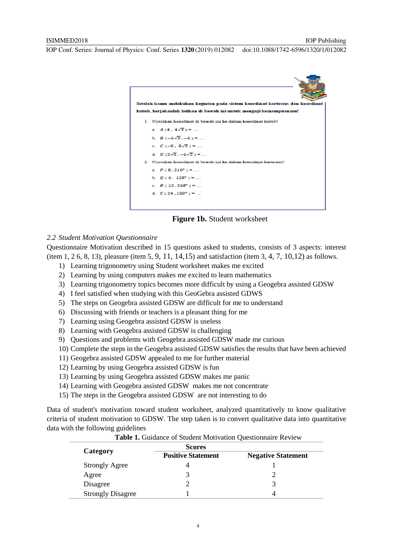

**Figure 1b.** Student worksheet

#### *2.2 Student Motivation Questionnaire*

Questionnaire Motivation described in 15 questions asked to students, consists of 3 aspects: interest (item 1, 2 6, 8, 13), pleasure (item 5, 9, 11, 14,15) and satisfaction (item 3, 4, 7, 10,12) as follows.

- 1) Learning trigonometry using Student worksheet makes me excited
- 2) Learning by using computers makes me excited to learn mathematics
- 3) Learning trigonometry topics becomes more difficult by using a Geogebra assisted GDSW
- 4) I feel satisfied when studying with this GeoGebra assisted GDWS
- 5) The steps on Geogebra assisted GDSW are difficult for me to understand
- 6) Discussing with friends or teachers is a pleasant thing for me
- 7) Learning using Geogebra assisted GDSW is useless
- 8) Learning with Geogebra assisted GDSW is challenging
- 9) Questions and problems with Geogebra assisted GDSW made me curious
- 10) Complete the steps in the Geogebra assisted GDSW satisfies the results that have been achieved
- 11) Geogebra assisted GDSW appealed to me for further material
- 12) Learning by using Geogebra assisted GDSW is fun
- 13) Learning by using Geogebra assisted GDSW makes me panic
- 14) Learning with Geogebra assisted GDSW makes me not concentrate
- 15) The steps in the Geogebra assisted GDSW are not interesting to do

Data of student's motivation toward student worksheet, analyzed quantitatively to know qualitative criteria of student motivation to GDSW. The step taken is to convert qualitative data into quantitative data with the following guidelines

|                          | <b>Scores</b>             |                           |
|--------------------------|---------------------------|---------------------------|
| Category                 | <b>Positive Statement</b> | <b>Negative Statement</b> |
| <b>Strongly Agree</b>    |                           |                           |
| Agree                    |                           |                           |
| Disagree                 |                           |                           |
| <b>Strongly Disagree</b> |                           |                           |

**Table 1.** Guidance of Student Motivation Questionnaire Review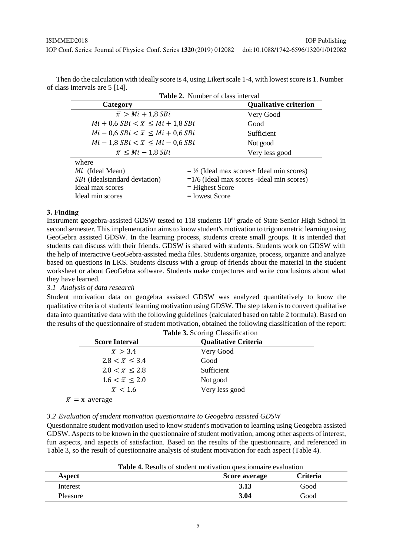Then do the calculation with ideally score is 4, using Likert scale 1-4, with lowest score is 1. Number of class intervals are 5 [14].

| <b>Table 2.</b> Number of class interval            |                   |                                             |  |  |
|-----------------------------------------------------|-------------------|---------------------------------------------|--|--|
| Category                                            |                   | <b>Qualitative criterion</b>                |  |  |
| $\overline{x} > Mi + 1.8 SBi$                       |                   | Very Good                                   |  |  |
| $Mi + 0.6$ $SBi < \overline{x} \leq Mi + 1.8$ $SBi$ |                   | Good                                        |  |  |
| $Mi - 0.6$ $SBi < \overline{x} \leq Mi + 0.6$ $SBi$ |                   | Sufficient                                  |  |  |
| $Mi - 1.8$ $SBi < \overline{x} \leq Mi - 0.6$ $SBi$ |                   | Not good                                    |  |  |
| $\overline{x} \leq Mi - 1.8 SBi$                    |                   | Very less good                              |  |  |
| where                                               |                   |                                             |  |  |
| Mi (Ideal Mean)                                     |                   | $=$ ½ (Ideal max scores + Ideal min scores) |  |  |
| <i>SBi</i> (Idealstandard deviation)                |                   | $=1/6$ (Ideal max scores -Ideal min scores) |  |  |
| Ideal max scores                                    | $=$ Highest Score |                                             |  |  |

#### **3. Finding**

Instrument geogebra-assisted GDSW tested to 118 students 10<sup>th</sup> grade of State Senior High School in second semester. This implementation aims to know student's motivation to trigonometric learning using GeoGebra assisted GDSW. In the learning process, students create small groups. It is intended that students can discuss with their friends. GDSW is shared with students. Students work on GDSW with the help of interactive GeoGebra-assisted media files. Students organize, process, organize and analyze based on questions in LKS. Students discuss with a group of friends about the material in the student worksheet or about GeoGebra software. Students make conjectures and write conclusions about what they have learned.

 $Ideal min scores = lowest Score$ 

#### *3.1 Analysis of data research*

Student motivation data on geogebra assisted GDSW was analyzed quantitatively to know the qualitative criteria of students' learning motivation using GDSW. The step taken is to convert qualitative data into quantitative data with the following guidelines (calculated based on table 2 formula). Based on the results of the questionnaire of student motivation, obtained the following classification of the report:

| <b>Table 3.</b> Scoring Classification |                             |  |
|----------------------------------------|-----------------------------|--|
| <b>Score Interval</b>                  | <b>Qualitative Criteria</b> |  |
| $\overline{x} > 3.4$                   | Very Good                   |  |
| $2.8 < \bar{x} \leq 3.4$               | Good                        |  |
| $2.0 < \bar{x} \leq 2.8$               | Sufficient                  |  |
| $1.6 < \bar{x} \leq 2.0$               | Not good                    |  |
| $\overline{x}$ < 1.6                   | Very less good              |  |
|                                        |                             |  |

 $\bar{x}$  = x average

#### *3.2 Evaluation of student motivation questionnaire to Geogebra assisted GDSW*

Questionnaire student motivation used to know student's motivation to learning using Geogebra assisted GDSW. Aspects to be known in the questionnaire of student motivation, among other aspects of interest, fun aspects, and aspects of satisfaction. Based on the results of the questionnaire, and referenced in Table 3, so the result of questionnaire analysis of student motivation for each aspect (Table 4).

| <b>Table 4.</b> Results of student motivation question aire evaluation |               |                 |  |
|------------------------------------------------------------------------|---------------|-----------------|--|
| Aspect                                                                 | Score average | <b>Criteria</b> |  |
| Interest                                                               | 3.13          | Good            |  |
| Pleasure                                                               | 3.04          | Good            |  |